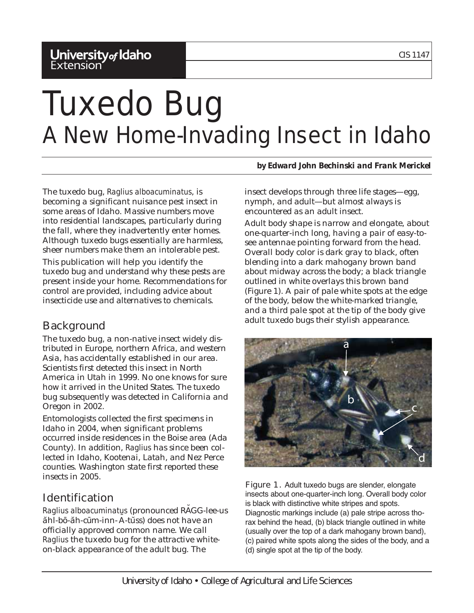# **University<sub>of</sub> Idaho**<br>Extension

# Tuxedo Bug A New Home-Invading Insect in Idaho

The tuxedo bug, *Raglius alboacuminatus*, is becoming a significant nuisance pest insect in some areas of Idaho. Massive numbers move into residential landscapes, particularly during the fall, where they inadvertently enter homes. Although tuxedo bugs essentially are harmless, sheer numbers make them an intolerable pest.

This publication will help you identify the tuxedo bug and understand why these pests are present inside your home. Recommendations for control are provided, including advice about insecticide use and alternatives to chemicals.

# **Background**

The tuxedo bug, a non-native insect widely distributed in Europe, northern Africa, and western Asia, has accidentally established in our area. Scientists first detected this insect in North America in Utah in 1999. No one knows for sure how it arrived in the United States. The tuxedo bug subsequently was detected in California and Oregon in 2002.

Entomologists collected the first specimens in Idaho in 2004, when significant problems occurred inside residences in the Boise area (Ada County). In addition, *Raglius* has since been collected in Idaho, Kootenai, Latah, and Nez Perce counties. Washington state first reported these insects in 2005.

# Identification

*Raglius alboacuminatus* (pronounced RA˘GG-lee-us ăhl-bō-ăh-cūm-inn- A-tuss) does not have an officially approved common name. We call *Raglius* the tuxedo bug for the attractive whiteon-black appearance of the adult bug. The

*by Edward John Bechinski and Frank Merickel*

insect develops through three life stages—egg, nymph, and adult—but almost always is encountered as an adult insect.

Adult body shape is narrow and elongate, about one-quarter-inch long, having a pair of easy-tosee antennae pointing forward from the head. Overall body color is dark gray to black, often blending into a dark mahogany brown band about midway across the body; a black triangle outlined in white overlays this brown band (Figure 1). A pair of pale white spots at the edge of the body, below the white-marked triangle, and a third pale spot at the tip of the body give adult tuxedo bugs their stylish appearance.



Figure 1. Adult tuxedo bugs are slender, elongate insects about one-quarter-inch long. Overall body color is black with distinctive white stripes and spots. Diagnostic markings include (a) pale stripe across thorax behind the head, (b) black triangle outlined in white (usually over the top of a dark mahogany brown band), (c) paired white spots along the sides of the body, and a (d) single spot at the tip of the body.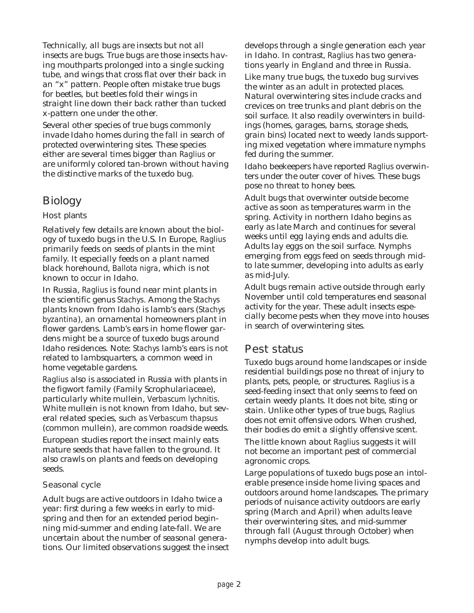Technically, all bugs are insects but not all insects are bugs. True bugs are those insects having mouthparts prolonged into a single sucking tube, and wings that cross flat over their back in an "x" pattern. People often mistake true bugs for beetles, but beetles fold their wings in straight line down their back rather than tucked x-pattern one under the other.

Several other species of true bugs commonly invade Idaho homes during the fall in search of protected overwintering sites. These species either are several times bigger than *Raglius* or are uniformly colored tan-brown without having the distinctive marks of the tuxedo bug.

# **Biology**

#### Host plants

Relatively few details are known about the biology of tuxedo bugs in the U.S. In Europe, *Raglius* primarily feeds on seeds of plants in the mint family. It especially feeds on a plant named black horehound, *Ballota nigra*, which is not known to occur in Idaho.

In Russia, *Raglius* is found near mint plants in the scientific genus *Stachys*. Among the *Stachys* plants known from Idaho is lamb's ears (*Stachys byzantina*), an ornamental homeowners plant in flower gardens. Lamb's ears in home flower gardens might be a source of tuxedo bugs around Idaho residences. Note: *Stachys* lamb's ears is not related to lambsquarters, a common weed in home vegetable gardens.

*Raglius* also is associated in Russia with plants in the figwort family (Family Scrophulariaceae), particularly white mullein, *Verbascum lychnitis*. White mullein is not known from Idaho, but several related species, such as *Verbascum thapsus* (common mullein), are common roadside weeds.

European studies report the insect mainly eats mature seeds that have fallen to the ground. It also crawls on plants and feeds on developing seeds.

#### Seasonal cycle

Adult bugs are active outdoors in Idaho twice a year: first during a few weeks in early to midspring and then for an extended period beginning mid-summer and ending late-fall. We are uncertain about the number of seasonal generations. Our limited observations suggest the insect develops through a single generation each year in Idaho. In contrast, *Raglius* has two generations yearly in England and three in Russia.

Like many true bugs, the tuxedo bug survives the winter as an adult in protected places. Natural overwintering sites include cracks and crevices on tree trunks and plant debris on the soil surface. It also readily overwinters in buildings (homes, garages, barns, storage sheds, grain bins) located next to weedy lands supporting mixed vegetation where immature nymphs fed during the summer.

Idaho beekeepers have reported *Raglius* overwinters under the outer cover of hives. These bugs pose no threat to honey bees.

Adult bugs that overwinter outside become active as soon as temperatures warm in the spring. Activity in northern Idaho begins as early as late March and continues for several weeks until egg laying ends and adults die. Adults lay eggs on the soil surface. Nymphs emerging from eggs feed on seeds through midto late summer, developing into adults as early as mid-July.

Adult bugs remain active outside through early November until cold temperatures end seasonal activity for the year. These adult insects especially become pests when they move into houses in search of overwintering sites.

## Pest status

Tuxedo bugs around home landscapes or inside residential buildings pose no threat of injury to plants, pets, people, or structures. *Raglius* is a seed-feeding insect that only seems to feed on certain weedy plants. It does not bite, sting or stain. Unlike other types of true bugs, *Raglius* does not emit offensive odors. When crushed, their bodies do emit a slightly offensive scent.

The little known about *Raglius* suggests it will not become an important pest of commercial agronomic crops.

Large populations of tuxedo bugs pose an intolerable presence inside home living spaces and outdoors around home landscapes. The primary periods of nuisance activity outdoors are early spring (March and April) when adults leave their overwintering sites, and mid-summer through fall (August through October) when nymphs develop into adult bugs.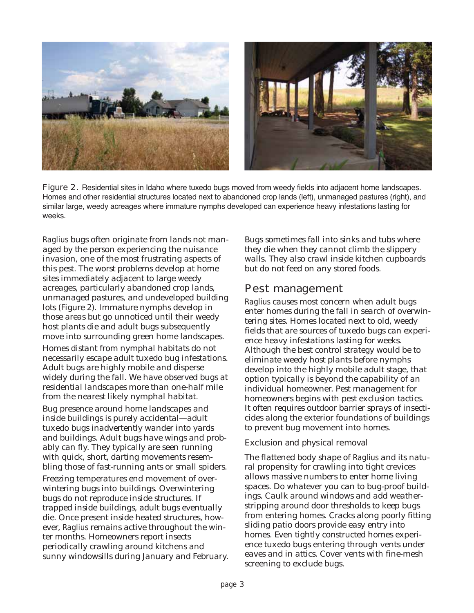

Figure 2. Residential sites in Idaho where tuxedo bugs moved from weedy fields into adjacent home landscapes. Homes and other residential structures located next to abandoned crop lands (left), unmanaged pastures (right), and similar large, weedy acreages where immature nymphs developed can experience heavy infestations lasting for weeks.

*Raglius* bugs often originate from lands not managed by the person experiencing the nuisance invasion, one of the most frustrating aspects of this pest. The worst problems develop at home sites immediately adjacent to large weedy acreages, particularly abandoned crop lands, unmanaged pastures, and undeveloped building lots (Figure 2). Immature nymphs develop in those areas but go unnoticed until their weedy host plants die and adult bugs subsequently move into surrounding green home landscapes.

Homes distant from nymphal habitats do not necessarily escape adult tuxedo bug infestations. Adult bugs are highly mobile and disperse widely during the fall. We have observed bugs at residential landscapes more than one-half mile from the nearest likely nymphal habitat.

Bug presence around home landscapes and inside buildings is purely accidental—adult tuxedo bugs inadvertently wander into yards and buildings. Adult bugs have wings and probably can fly. They typically are seen running with quick, short, darting movements resembling those of fast-running ants or small spiders.

Freezing temperatures end movement of overwintering bugs into buildings. Overwintering bugs do not reproduce inside structures. If trapped inside buildings, adult bugs eventually die. Once present inside heated structures, however, *Raglius* remains active throughout the winter months. Homeowners report insects periodically crawling around kitchens and sunny windowsills during January and February. Bugs sometimes fall into sinks and tubs where they die when they cannot climb the slippery walls. They also crawl inside kitchen cupboards but do not feed on any stored foods.

### Pest management

*Raglius* causes most concern when adult bugs enter homes during the fall in search of overwintering sites. Homes located next to old, weedy fields that are sources of tuxedo bugs can experience heavy infestations lasting for weeks. Although the best control strategy would be to eliminate weedy host plants before nymphs develop into the highly mobile adult stage, that option typically is beyond the capability of an individual homeowner. Pest management for homeowners begins with pest exclusion tactics. It often requires outdoor barrier sprays of insecticides along the exterior foundations of buildings to prevent bug movement into homes.

#### Exclusion and physical removal

The flattened body shape of *Raglius* and its natural propensity for crawling into tight crevices allows massive numbers to enter home living spaces. Do whatever you can to bug-proof buildings. Caulk around windows and add weatherstripping around door thresholds to keep bugs from entering homes. Cracks along poorly fitting sliding patio doors provide easy entry into homes. Even tightly constructed homes experience tuxedo bugs entering through vents under eaves and in attics. Cover vents with fine-mesh screening to exclude bugs.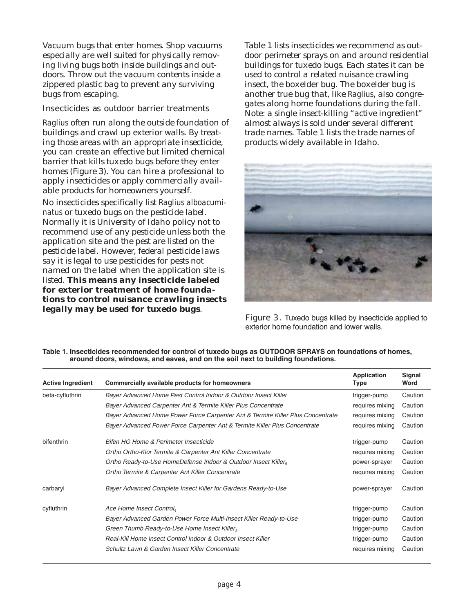Vacuum bugs that enter homes. Shop vacuums especially are well suited for physically removing living bugs both inside buildings and outdoors. Throw out the vacuum contents inside a zippered plastic bag to prevent any surviving bugs from escaping.

#### Insecticides as outdoor barrier treatments

*Raglius* often run along the outside foundation of buildings and crawl up exterior walls. By treating those areas with an appropriate insecticide, you can create an effective but limited chemical barrier that kills tuxedo bugs before they enter homes (Figure 3). You can hire a professional to apply insecticides or apply commercially available products for homeowners yourself.

No insecticides specifically list *Raglius alboacuminatus* or tuxedo bugs on the pesticide label. Normally it is University of Idaho policy not to recommend use of any pesticide unless both the application site and the pest are listed on the pesticide label. However, federal pesticide laws say it is legal to use pesticides for pests not named on the label when the application site is listed. **This means any insecticide labeled for exterior treatment of home foundations to control nuisance crawling insects legally may be used for tuxedo bugs**.

Table 1 lists insecticides we recommend as outdoor perimeter sprays on and around residential buildings for tuxedo bugs. Each states it can be used to control a related nuisance crawling insect, the boxelder bug. The boxelder bug is another true bug that, like *Raglius*, also congregates along home foundations during the fall. Note: a single insect-killing "active ingredient" almost always is sold under several different trade names. Table 1 lists the trade names of products widely available in Idaho.



Figure 3. Tuxedo bugs killed by insecticide applied to exterior home foundation and lower walls.

| <b>Active Ingredient</b> | Commercially available products for homeowners                                  | <b>Application</b><br>Type | Signal<br>Word |
|--------------------------|---------------------------------------------------------------------------------|----------------------------|----------------|
| beta-cyfluthrin          | Bayer Advanced Home Pest Control Indoor & Outdoor Insect Killer                 | trigger-pump               | Caution        |
|                          | Bayer Advanced Carpenter Ant & Termite Killer Plus Concentrate                  | requires mixing            | Caution        |
|                          | Bayer Advanced Home Power Force Carpenter Ant & Termite Killer Plus Concentrate | requires mixing            | Caution        |
|                          | Bayer Advanced Power Force Carpenter Ant & Termite Killer Plus Concentrate      | requires mixing            | Caution        |
| bifenthrin               | Bifen HG Home & Perimeter Insecticide                                           | trigger-pump               | Caution        |
|                          | Ortho Ortho-Klor Termite & Carpenter Ant Killer Concentrate                     | requires mixing            | Caution        |
|                          | Ortho Ready-to-Use HomeDefense Indoor & Outdoor Insect Killer                   | power-sprayer              | Caution        |
|                          | Ortho Termite & Carpenter Ant Killer Concentrate                                | requires mixing            | Caution        |
| carbaryl                 | Bayer Advanced Complete Insect Killer for Gardens Ready-to-Use                  | power-sprayer              | Caution        |
| cyfluthrin               | Ace Home Insect Control <sub>4</sub>                                            | trigger-pump               | Caution        |
|                          | Bayer Advanced Garden Power Force Multi-Insect Killer Ready-to-Use              | trigger-pump               | Caution        |
|                          | Green Thumb Ready-to-Use Home Insect Killer <sub>3</sub>                        | trigger-pump               | Caution        |
|                          | Real-Kill Home Insect Control Indoor & Outdoor Insect Killer                    | trigger-pump               | Caution        |
|                          | Schultz Lawn & Garden Insect Killer Concentrate                                 | requires mixing            | Caution        |

#### **Table 1. Insecticides recommended for control of tuxedo bugs as OUTDOOR SPRAYS on foundations of homes, around doors, windows, and eaves, and on the soil next to building foundations.**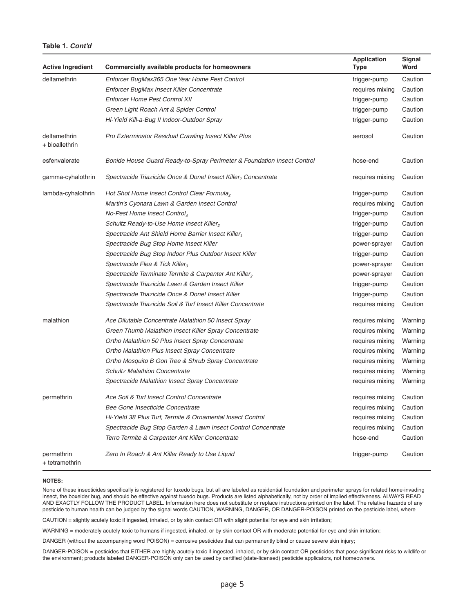#### **Table 1. Cont'd**

| <b>Active Ingredient</b>       | Commercially available products for homeowners                          | <b>Application</b><br>Type | Signal<br>Word |
|--------------------------------|-------------------------------------------------------------------------|----------------------------|----------------|
| deltamethrin                   | Enforcer BugMax365 One Year Home Pest Control                           | trigger-pump               | Caution        |
|                                | Enforcer BugMax Insect Killer Concentrate                               | requires mixing            | Caution        |
|                                | <b>Enforcer Home Pest Control XII</b>                                   | trigger-pump               | Caution        |
|                                | Green Light Roach Ant & Spider Control                                  | trigger-pump               | Caution        |
|                                | Hi-Yield Kill-a-Bug II Indoor-Outdoor Spray                             | trigger-pump               | Caution        |
| deltamethrin<br>+ bioallethrin | Pro Exterminator Residual Crawling Insect Killer Plus                   | aerosol                    | Caution        |
| esfenvalerate                  | Bonide House Guard Ready-to-Spray Perimeter & Foundation Insect Control | hose-end                   | Caution        |
| gamma-cyhalothrin              | Spectracide Triazicide Once & Done! Insect Killer, Concentrate          | requires mixing            | Caution        |
| lambda-cyhalothrin             | Hot Shot Home Insect Control Clear Formula,                             | trigger-pump               | Caution        |
|                                | Martin's Cyonara Lawn & Garden Insect Control                           | requires mixing            | Caution        |
|                                | No-Pest Home Insect Control <sub>4</sub>                                | trigger-pump               | Caution        |
|                                | Schultz Ready-to-Use Home Insect Killer,                                | trigger-pump               | Caution        |
|                                | Spectracide Ant Shield Home Barrier Insect Killer,                      | trigger-pump               | Caution        |
|                                | Spectracide Bug Stop Home Insect Killer                                 | power-sprayer              | Caution        |
|                                | Spectracide Bug Stop Indoor Plus Outdoor Insect Killer                  | trigger-pump               | Caution        |
|                                | Spectracide Flea & Tick Killer <sub>3</sub>                             | power-sprayer              | Caution        |
|                                | Spectracide Terminate Termite & Carpenter Ant Killer,                   | power-sprayer              | Caution        |
|                                | Spectracide Triazicide Lawn & Garden Insect Killer                      | trigger-pump               | Caution        |
|                                | Spectracide Triazicide Once & Done! Insect Killer                       | trigger-pump               | Caution        |
|                                | Spectracide Triazicide Soil & Turf Insect Killer Concentrate            | requires mixing            | Caution        |
| malathion                      | Ace Dilutable Concentrate Malathion 50 Insect Spray                     | requires mixing            | Warning        |
|                                | Green Thumb Malathion Insect Killer Spray Concentrate                   | requires mixing            | Warning        |
|                                | Ortho Malathion 50 Plus Insect Spray Concentrate                        | requires mixing            | Warning        |
|                                | Ortho Malathion Plus Insect Spray Concentrate                           | requires mixing            | Warning        |
|                                | Ortho Mosquito B Gon Tree & Shrub Spray Concentrate                     | requires mixing            | Warning        |
|                                | <b>Schultz Malathion Concentrate</b>                                    | requires mixing            | Warning        |
|                                | Spectracide Malathion Insect Spray Concentrate                          | requires mixing            | Warning        |
| permethrin                     | Ace Soil & Turf Insect Control Concentrate                              | requires mixing            | Caution        |
|                                | Bee Gone Insecticide Concentrate                                        | requires mixing            | Caution        |
|                                | Hi-Yield 38 Plus Turf, Termite & Ornamental Insect Control              | requires mixing            | Caution        |
|                                | Spectracide Bug Stop Garden & Lawn Insect Control Concentrate           | requires mixing            | Caution        |
|                                | Terro Termite & Carpenter Ant Killer Concentrate                        | hose-end                   | Caution        |
| permethrin<br>+ tetramethrin   | Zero In Roach & Ant Killer Ready to Use Liquid                          | trigger-pump               | Caution        |

#### **NOTES:**

None of these insecticides specifically is registered for tuxedo bugs, but all are labeled as residential foundation and perimeter sprays for related home-invading insect, the boxelder bug, and should be effective against tuxedo bugs. Products are listed alphabetically, not by order of implied effectiveness. ALWAYS READ AND EXACTLY FOLLOW THE PRODUCT LABEL. Information here does not substitute or replace instructions printed on the label. The relative hazards of any pesticide to human health can be judged by the signal words CAUTION, WARNING, DANGER, OR DANGER-POISON printed on the pesticide label, where

CAUTION = slightly acutely toxic if ingested, inhaled, or by skin contact OR with slight potential for eye and skin irritation;

WARNING = moderately acutely toxic to humans if ingested, inhaled, or by skin contact OR with moderate potential for eye and skin irritation;

DANGER (without the accompanying word POISON) = corrosive pesticides that can permanently blind or cause severe skin injury;

DANGER-POISON = pesticides that EITHER are highly acutely toxic if ingested, inhaled, or by skin contact OR pesticides that pose significant risks to wildlife or the environment; products labeled DANGER-POISON only can be used by certified (state-licensed) pesticide applicators, not homeowners.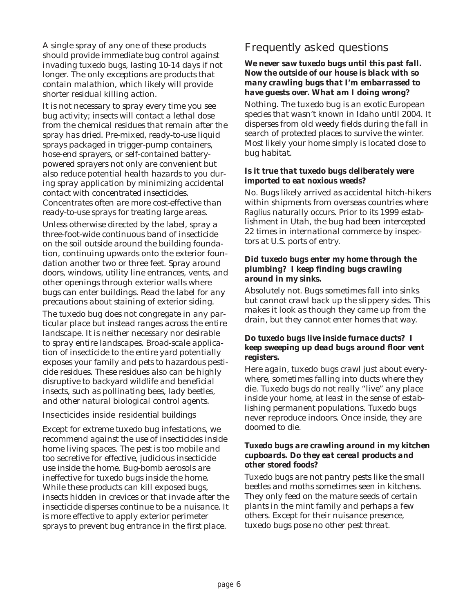A single spray of any one of these products should provide immediate bug control against invading tuxedo bugs, lasting 10-14 days if not longer. The only exceptions are products that contain malathion, which likely will provide shorter residual killing action.

It is not necessary to spray every time you see bug activity; insects will contact a lethal dose from the chemical residues that remain after the spray has dried. Pre-mixed, ready-to-use liquid sprays packaged in trigger-pump containers, hose-end sprayers, or self-contained batterypowered sprayers not only are convenient but also reduce potential health hazards to you during spray application by minimizing accidental contact with concentrated insecticides. Concentrates often are more cost-effective than ready-to-use sprays for treating large areas.

Unless otherwise directed by the label, spray a three-foot-wide continuous band of insecticide on the soil outside around the building foundation, continuing upwards onto the exterior foundation another two or three feet. Spray around doors, windows, utility line entrances, vents, and other openings through exterior walls where bugs can enter buildings. Read the label for any precautions about staining of exterior siding.

The tuxedo bug does not congregate in any particular place but instead ranges across the entire landscape. It is neither necessary nor desirable to spray entire landscapes. Broad-scale application of insecticide to the entire yard potentially exposes your family and pets to hazardous pesticide residues. These residues also can be highly disruptive to backyard wildlife and beneficial insects, such as pollinating bees, lady beetles, and other natural biological control agents.

#### Insecticides inside residential buildings

Except for extreme tuxedo bug infestations, we recommend against the use of insecticides inside home living spaces. The pest is too mobile and too secretive for effective, judicious insecticide use inside the home. Bug-bomb aerosols are ineffective for tuxedo bugs inside the home. While these products can kill exposed bugs, insects hidden in crevices or that invade after the insecticide disperses continue to be a nuisance. It is more effective to apply exterior perimeter sprays to prevent bug entrance in the first place.

## Frequently asked questions

#### *We never saw tuxedo bugs until this past fall. Now the outside of our house is black with so many crawling bugs that I'm embarrassed to have guests over. What am I doing wrong?*

Nothing. The tuxedo bug is an exotic European species that wasn't known in Idaho until 2004. It disperses from old weedy fields during the fall in search of protected places to survive the winter. Most likely your home simply is located close to bug habitat.

#### *Is it true that tuxedo bugs deliberately were imported to eat noxious weeds?*

No. Bugs likely arrived as accidental hitch-hikers within shipments from overseas countries where *Raglius* naturally occurs. Prior to its 1999 establishment in Utah, the bug had been intercepted 22 times in international commerce by inspectors at U.S. ports of entry.

#### *Did tuxedo bugs enter my home through the plumbing? I keep finding bugs crawling around in my sinks.*

Absolutely not. Bugs sometimes fall into sinks but cannot crawl back up the slippery sides. This makes it look as though they came up from the drain, but they cannot enter homes that way.

#### *Do tuxedo bugs live inside furnace ducts? I keep sweeping up dead bugs around floor vent registers.*

Here again, tuxedo bugs crawl just about everywhere, sometimes falling into ducts where they die. Tuxedo bugs do not really "live" any place inside your home, at least in the sense of establishing permanent populations. Tuxedo bugs never reproduce indoors. Once inside, they are doomed to die.

#### *Tuxedo bugs are crawling around in my kitchen cupboards. Do they eat cereal products and other stored foods?*

Tuxedo bugs are not pantry pests like the small beetles and moths sometimes seen in kitchens. They only feed on the mature seeds of certain plants in the mint family and perhaps a few others. Except for their nuisance presence, tuxedo bugs pose no other pest threat.